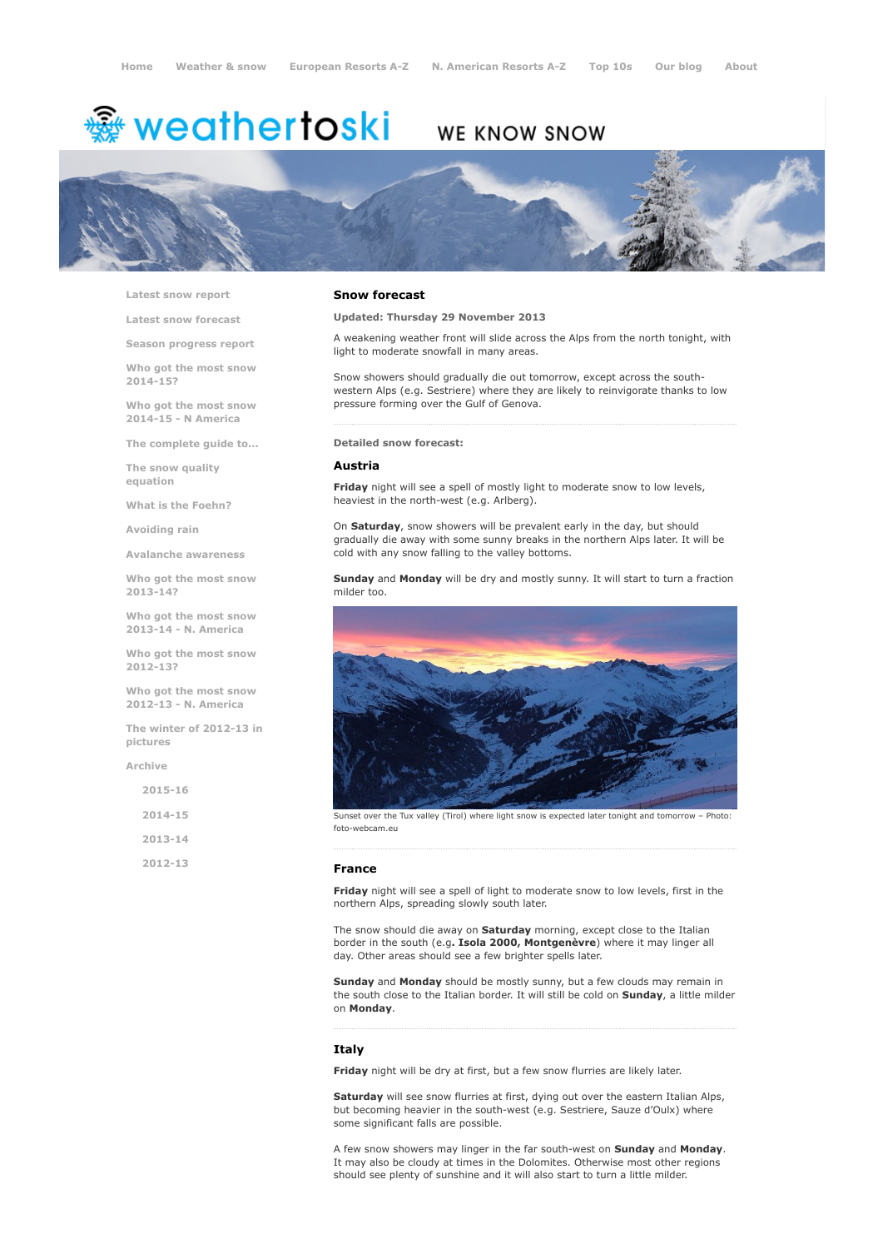# <sup>霧</sup> weathertoski

# WE KNOW SNOW



Latest snow [report](http://www.weathertoski.co.uk/weather-snow/latest-snow-report/)

Latest snow [forecast](http://www.weathertoski.co.uk/weather-snow/latest-snow-forecast/)

Season [progress](http://www.weathertoski.co.uk/weather-snow/season-progress-report/) report

Who got the most snow 2014-15?

Who got the most snow 2014-15 - N America

The [complete](http://www.weathertoski.co.uk/weather-snow/the-complete-guide-to/) guide to...

The snow quality [equation](http://www.weathertoski.co.uk/weather-snow/the-snow-quality-equation/)

What is the [Foehn?](http://www.weathertoski.co.uk/weather-snow/what-is-the-foehn/)

[Avoiding](http://www.weathertoski.co.uk/weather-snow/avoiding-rain/) rain

Avalanche [awareness](http://www.weathertoski.co.uk/weather-snow/avalanche-awareness/)

Who got the most snow 2013-14?

Who got the most snow 2013-14 - N. America

Who got the most snow 2012-13?

Who got the most snow 2012-13 - N. America

The winter of 2012-13 in pictures

[Archive](http://www.weathertoski.co.uk/weather-snow/archive/)

| $2015 - 16$ |  |
|-------------|--|
| 2014-15     |  |
| $2013 - 14$ |  |
| 2012-13     |  |

### Snow forecast

Updated: Thursday 29 November 2013

A weakening weather front will slide across the Alps from the north tonight, with light to moderate snowfall in many areas.

Snow showers should gradually die out tomorrow, except across the southwestern Alps (e.g. Sestriere) where they are likely to reinvigorate thanks to low pressure forming over the Gulf of Genova.

Detailed snow forecast:

#### Austria

Friday night will see a spell of mostly light to moderate snow to low levels, heaviest in the north-west (e.g. Arlberg).

On Saturday, snow showers will be prevalent early in the day, but should gradually die away with some sunny breaks in the northern Alps later. It will be cold with any snow falling to the valley bottoms.

Sunday and Monday will be dry and mostly sunny. It will start to turn a fraction milder too.



Sunset over the Tux valley (Tirol) where light snow is expected later tonight and tomorrow foto-webcam.eu

#### France

Friday night will see a spell of light to moderate snow to low levels, first in the northern Alps, spreading slowly south later.

The snow should die away on **Saturday** morning, except close to the Italian border in the south (e.g. Isola 2000, Montgenèvre) where it may linger all day. Other areas should see a few brighter spells later.

Sunday and Monday should be mostly sunny, but a few clouds may remain in the south close to the Italian border. It will still be cold on Sunday, a little milder on Monday.

#### **Italy**

Friday night will be dry at first, but a few snow flurries are likely later.

Saturday will see snow flurries at first, dying out over the eastern Italian Alps, but becoming heavier in the south-west (e.g. Sestriere, Sauze d'Oulx) where some significant falls are possible.

A few snow showers may linger in the far south-west on Sunday and Monday. It may also be cloudy at times in the Dolomites. Otherwise most other regions should see plenty of sunshine and it will also start to turn a little milder.